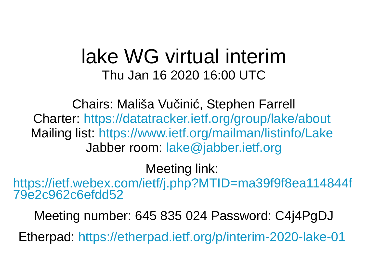## lake WG virtual interim Thu Jan 16 2020 16:00 UTC

Chairs: Mališa Vučinić, Stephen Farrell Charter: <https://datatracker.ietf.org/group/lake/about> Mailing list: <https://www.ietf.org/mailman/listinfo/Lake> Jabber room: [lake@jabber.ietf.org](mailto:lake@jabber.ietf.org)

## Meeting link:

[https://ietf.webex.com/ietf/j.php?MTID=ma39f9f8ea114844f](https://ietf.webex.com/ietf/j.php?MTID=ma39f9f8ea114844f79e2c962c6efdd52) [79e2c962c6efdd52](https://ietf.webex.com/ietf/j.php?MTID=ma39f9f8ea114844f79e2c962c6efdd52)

Meeting number: 645 835 024 Password: C4j4PgDJ Etherpad: <https://etherpad.ietf.org/p/interim-2020-lake-01>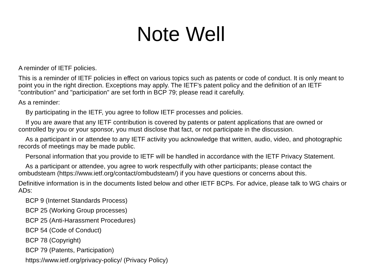## Note Well

A reminder of IETF policies.

This is a reminder of IETF policies in effect on various topics such as patents or code of conduct. It is only meant to point you in the right direction. Exceptions may apply. The IETF's patent policy and the definition of an IETF "contribution" and "participation" are set forth in BCP 79; please read it carefully.

As a reminder:

By participating in the IETF, you agree to follow IETF processes and policies.

 If you are aware that any IETF contribution is covered by patents or patent applications that are owned or controlled by you or your sponsor, you must disclose that fact, or not participate in the discussion.

 As a participant in or attendee to any IETF activity you acknowledge that written, audio, video, and photographic records of meetings may be made public.

Personal information that you provide to IETF will be handled in accordance with the IETF Privacy Statement.

 As a participant or attendee, you agree to work respectfully with other participants; please contact the ombudsteam (https://www.ietf.org/contact/ombudsteam/) if you have questions or concerns about this.

Definitive information is in the documents listed below and other IETF BCPs. For advice, please talk to WG chairs or ADs:

BCP 9 (Internet Standards Process)

BCP 25 (Working Group processes)

BCP 25 (Anti-Harassment Procedures)

BCP 54 (Code of Conduct)

BCP 78 (Copyright)

BCP 79 (Patents, Participation)

https://www.ietf.org/privacy-policy/ (Privacy Policy)